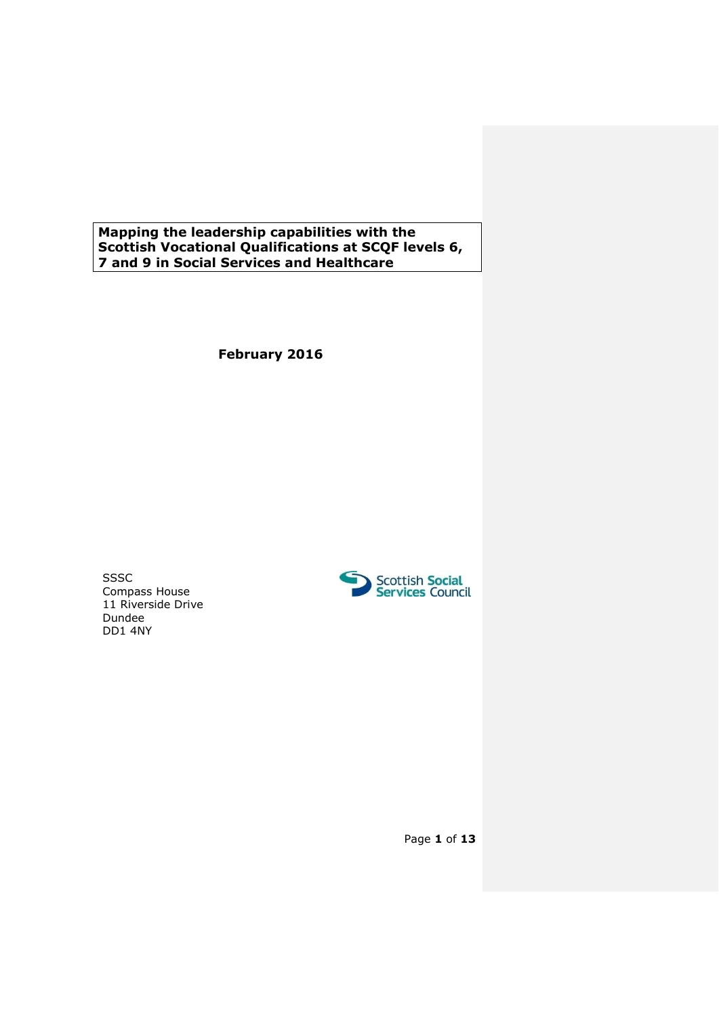**Mapping the leadership capabilities with the Scottish Vocational Qualifications at SCQF levels 6, 7 and 9 in Social Services and Healthcare**

**February 2016**

SSSC Compass House 11 Riverside Drive Dundee DD1 4NY



Page **1** of **13**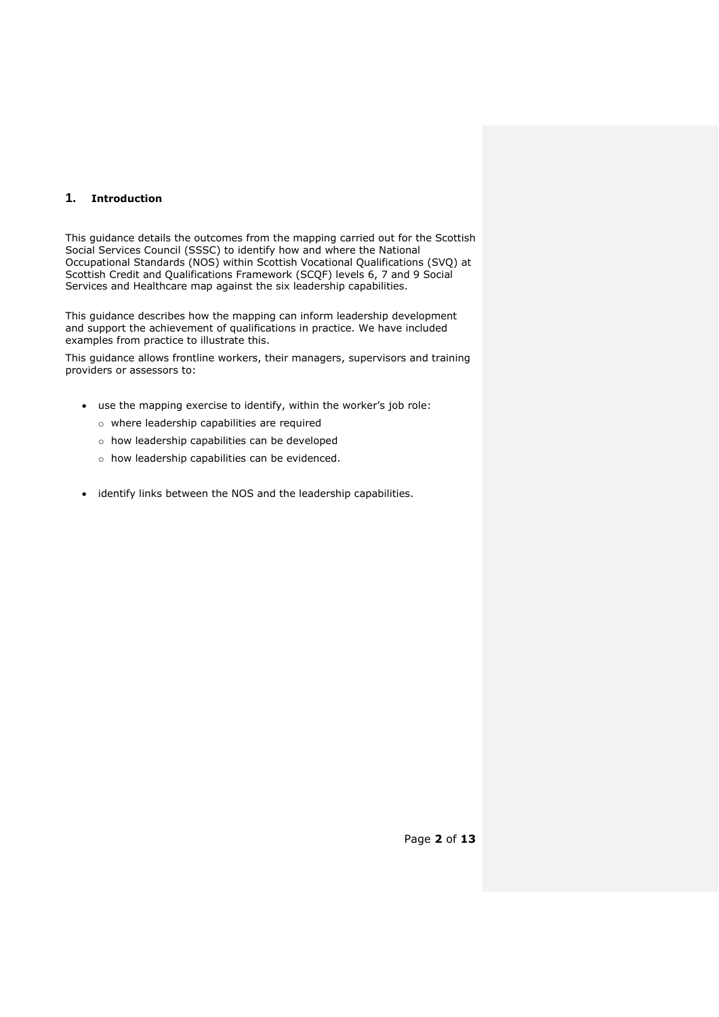## **1. Introduction**

This guidance details the outcomes from the mapping carried out for the Scottish Social Services Council (SSSC) to identify how and where the National Occupational Standards (NOS) within Scottish Vocational Qualifications (SVQ) at Scottish Credit and Qualifications Framework (SCQF) levels 6, 7 and 9 Social Services and Healthcare map against the six leadership capabilities.

This guidance describes how the mapping can inform leadership development and support the achievement of qualifications in practice. We have included examples from practice to illustrate this.

This guidance allows frontline workers, their managers, supervisors and training providers or assessors to:

- use the mapping exercise to identify, within the worker's job role:
	- o where leadership capabilities are required
	- o how leadership capabilities can be developed
	- o how leadership capabilities can be evidenced.
- identify links between the NOS and the leadership capabilities.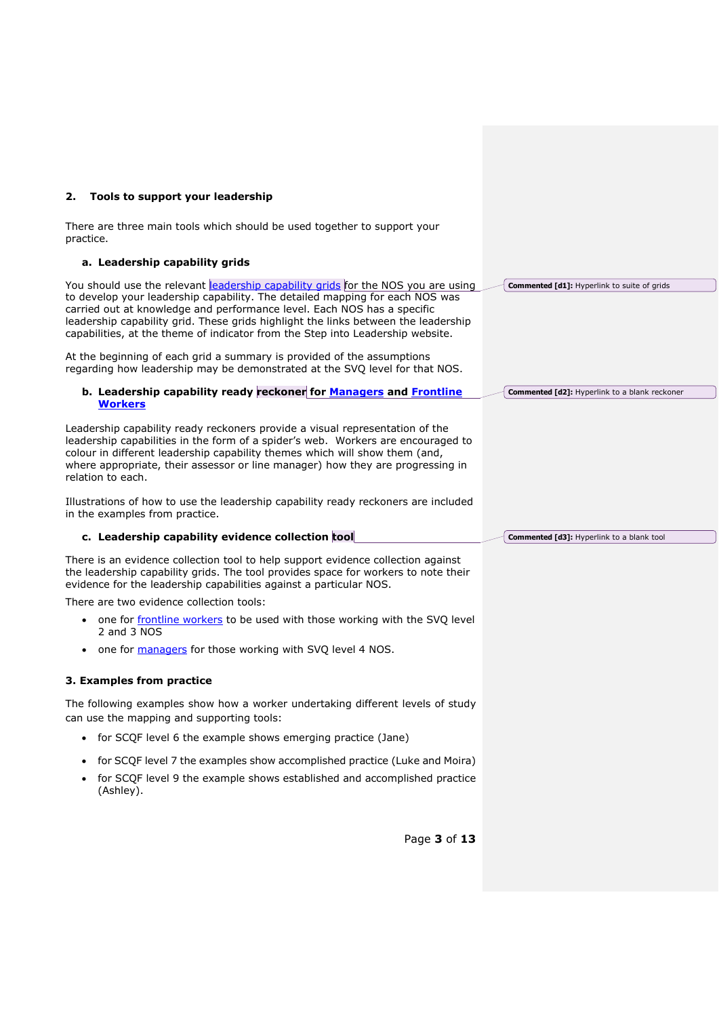| Tools to support your leadership<br>2.                                                                                                                                                                                                                                                                                                                                                                              |                                                      |
|---------------------------------------------------------------------------------------------------------------------------------------------------------------------------------------------------------------------------------------------------------------------------------------------------------------------------------------------------------------------------------------------------------------------|------------------------------------------------------|
| There are three main tools which should be used together to support your<br>practice.                                                                                                                                                                                                                                                                                                                               |                                                      |
| a. Leadership capability grids                                                                                                                                                                                                                                                                                                                                                                                      |                                                      |
| You should use the relevant eadership capability grids for the NOS you are using<br>to develop your leadership capability. The detailed mapping for each NOS was<br>carried out at knowledge and performance level. Each NOS has a specific<br>leadership capability grid. These grids highlight the links between the leadership<br>capabilities, at the theme of indicator from the Step into Leadership website. | Commented [d1]: Hyperlink to suite of grids          |
| At the beginning of each grid a summary is provided of the assumptions<br>regarding how leadership may be demonstrated at the SVQ level for that NOS.                                                                                                                                                                                                                                                               |                                                      |
| b. Leadership capability ready reckoner for Managers and Frontline<br><b>Workers</b>                                                                                                                                                                                                                                                                                                                                | <b>Commented [d2]:</b> Hyperlink to a blank reckoner |
| Leadership capability ready reckoners provide a visual representation of the<br>leadership capabilities in the form of a spider's web. Workers are encouraged to<br>colour in different leadership capability themes which will show them (and,<br>where appropriate, their assessor or line manager) how they are progressing in<br>relation to each.                                                              |                                                      |
| Illustrations of how to use the leadership capability ready reckoners are included<br>in the examples from practice.                                                                                                                                                                                                                                                                                                |                                                      |
| c. Leadership capability evidence collection tool                                                                                                                                                                                                                                                                                                                                                                   | <b>Commented [d3]: Hyperlink to a blank tool</b>     |
| There is an evidence collection tool to help support evidence collection against<br>the leadership capability grids. The tool provides space for workers to note their<br>evidence for the leadership capabilities against a particular NOS.                                                                                                                                                                        |                                                      |
| There are two evidence collection tools:                                                                                                                                                                                                                                                                                                                                                                            |                                                      |
| one for frontline workers to be used with those working with the SVQ level<br>2 and 3 NOS                                                                                                                                                                                                                                                                                                                           |                                                      |
| one for managers for those working with SVQ level 4 NOS.<br>$\bullet$                                                                                                                                                                                                                                                                                                                                               |                                                      |
| 3. Examples from practice                                                                                                                                                                                                                                                                                                                                                                                           |                                                      |
| The following examples show how a worker undertaking different levels of study<br>can use the mapping and supporting tools:                                                                                                                                                                                                                                                                                         |                                                      |
| for SCQF level 6 the example shows emerging practice (Jane)<br>$\bullet$                                                                                                                                                                                                                                                                                                                                            |                                                      |
| for SCQF level 7 the examples show accomplished practice (Luke and Moira)                                                                                                                                                                                                                                                                                                                                           |                                                      |
| for SCQF level 9 the example shows established and accomplished practice<br>(Ashley).                                                                                                                                                                                                                                                                                                                               |                                                      |
| Page 3 of 13                                                                                                                                                                                                                                                                                                                                                                                                        |                                                      |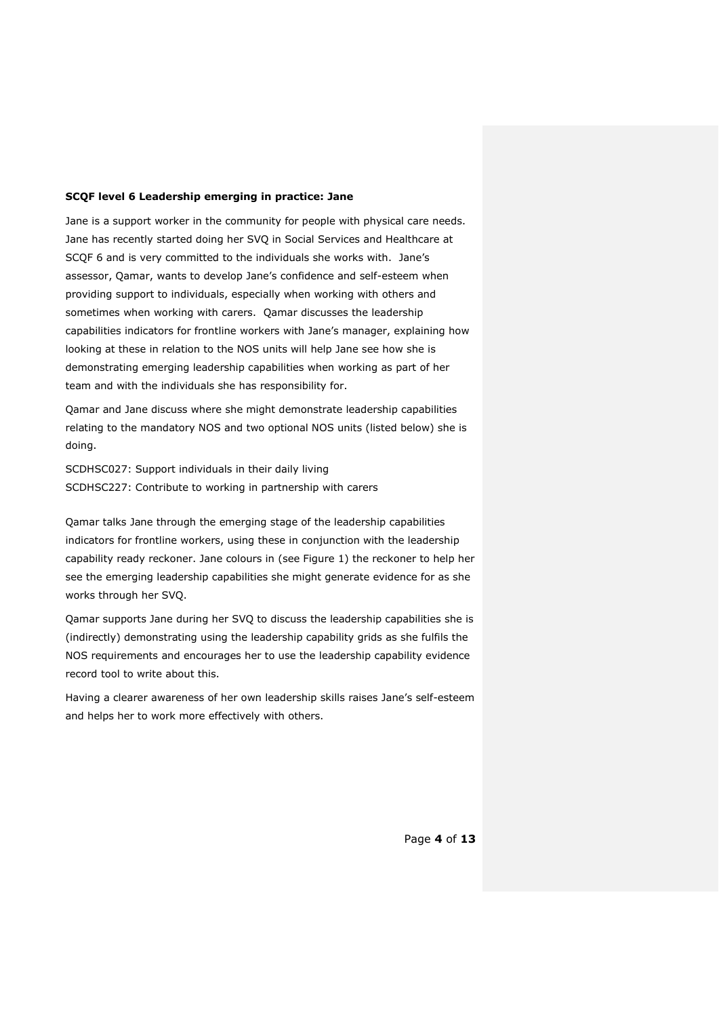#### **SCQF level 6 Leadership emerging in practice: Jane**

Jane is a support worker in the community for people with physical care needs. Jane has recently started doing her SVQ in Social Services and Healthcare at SCQF 6 and is very committed to the individuals she works with. Jane's assessor, Qamar, wants to develop Jane's confidence and self-esteem when providing support to individuals, especially when working with others and sometimes when working with carers. Qamar discusses the leadership capabilities indicators for frontline workers with Jane's manager, explaining how looking at these in relation to the NOS units will help Jane see how she is demonstrating emerging leadership capabilities when working as part of her team and with the individuals she has responsibility for.

Qamar and Jane discuss where she might demonstrate leadership capabilities relating to the mandatory NOS and two optional NOS units (listed below) she is doing.

SCDHSC027: Support individuals in their daily living SCDHSC227: Contribute to working in partnership with carers

Qamar talks Jane through the emerging stage of the leadership capabilities indicators for frontline workers, using these in conjunction with the leadership capability ready reckoner. Jane colours in (see Figure 1) the reckoner to help her see the emerging leadership capabilities she might generate evidence for as she works through her SVQ.

Qamar supports Jane during her SVQ to discuss the leadership capabilities she is (indirectly) demonstrating using the leadership capability grids as she fulfils the NOS requirements and encourages her to use the leadership capability evidence record tool to write about this.

Having a clearer awareness of her own leadership skills raises Jane's self-esteem and helps her to work more effectively with others.

Page **4** of **13**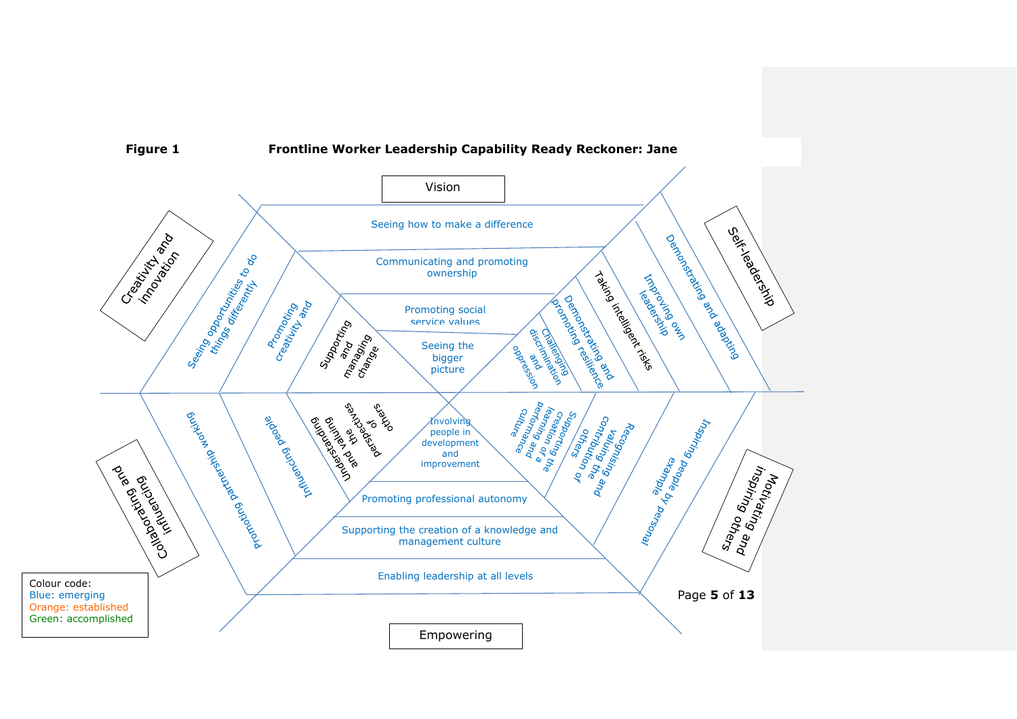

**Figure 1 Frontline Worker Leadership Capability Ready Reckoner: Jane**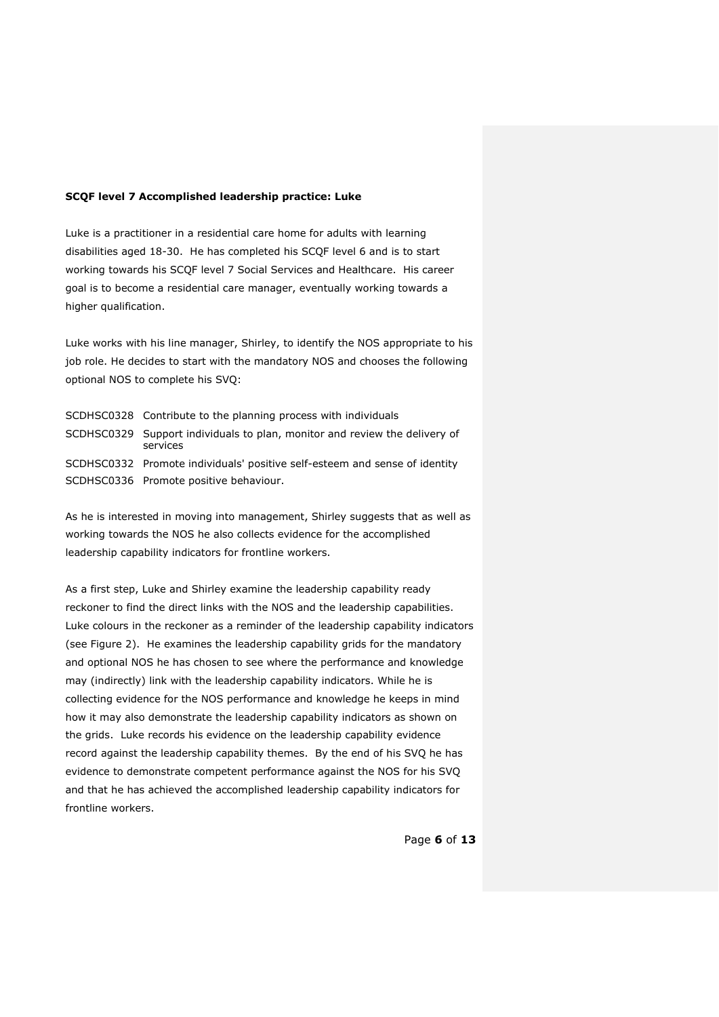### **SCQF level 7 Accomplished leadership practice: Luke**

Luke is a practitioner in a residential care home for adults with learning disabilities aged 18-30. He has completed his SCQF level 6 and is to start working towards his SCQF level 7 Social Services and Healthcare. His career goal is to become a residential care manager, eventually working towards a higher qualification.

Luke works with his line manager, Shirley, to identify the NOS appropriate to his job role. He decides to start with the mandatory NOS and chooses the following optional NOS to complete his SVQ:

| SCDHSC0328 Contribute to the planning process with individuals                         |
|----------------------------------------------------------------------------------------|
| SCDHSC0329 Support individuals to plan, monitor and review the delivery of<br>services |
| SCDHSC0332 Promote individuals' positive self-esteem and sense of identity             |
| SCDHSC0336 Promote positive behaviour.                                                 |

As he is interested in moving into management, Shirley suggests that as well as working towards the NOS he also collects evidence for the accomplished leadership capability indicators for frontline workers.

As a first step, Luke and Shirley examine the leadership capability ready reckoner to find the direct links with the NOS and the leadership capabilities. Luke colours in the reckoner as a reminder of the leadership capability indicators (see Figure 2). He examines the leadership capability grids for the mandatory and optional NOS he has chosen to see where the performance and knowledge may (indirectly) link with the leadership capability indicators. While he is collecting evidence for the NOS performance and knowledge he keeps in mind how it may also demonstrate the leadership capability indicators as shown on the grids. Luke records his evidence on the leadership capability evidence record against the leadership capability themes. By the end of his SVQ he has evidence to demonstrate competent performance against the NOS for his SVQ and that he has achieved the accomplished leadership capability indicators for frontline workers.

Page **6** of **13**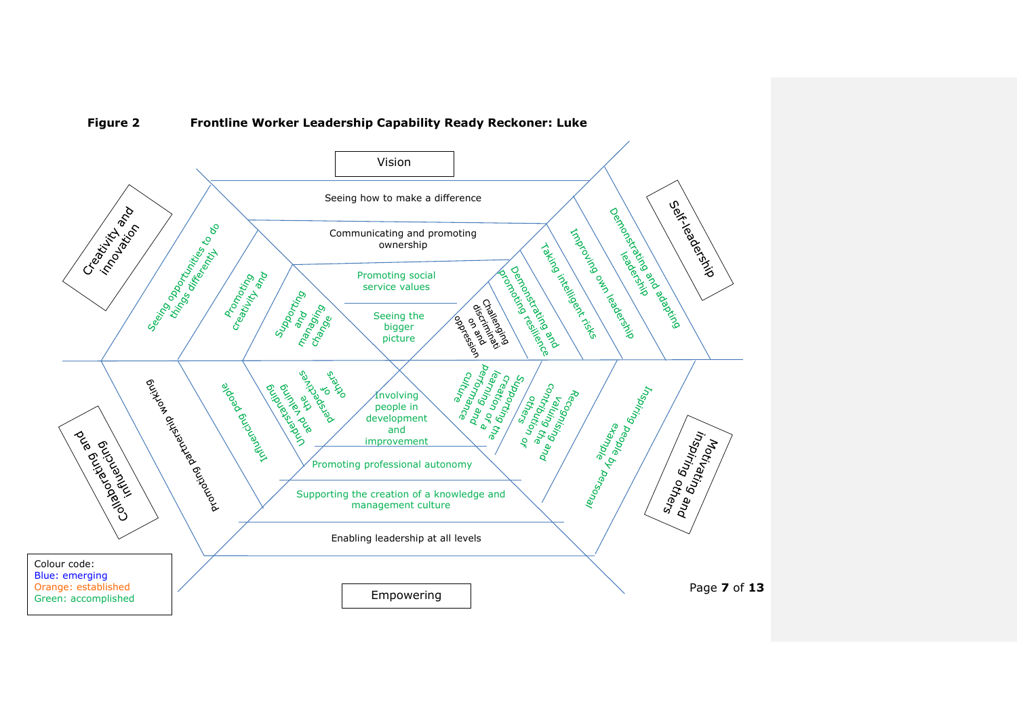# **Figure 2 Frontline Worker Leadership Capability Ready Reckoner: Luke**

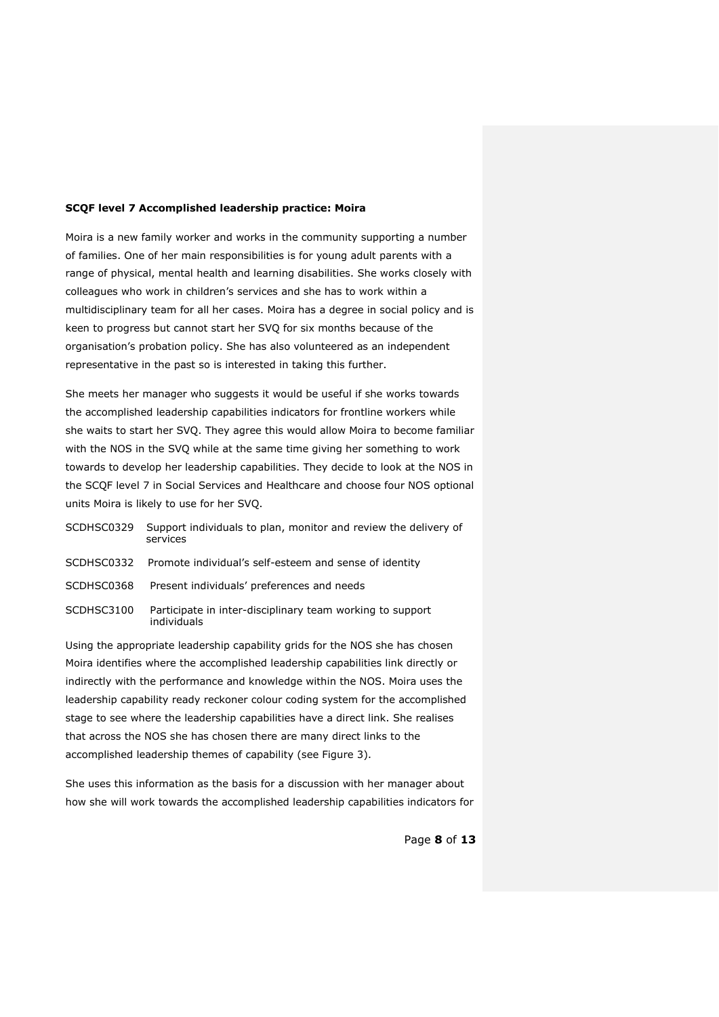### **SCQF level 7 Accomplished leadership practice: Moira**

Moira is a new family worker and works in the community supporting a number of families. One of her main responsibilities is for young adult parents with a range of physical, mental health and learning disabilities. She works closely with colleagues who work in children's services and she has to work within a multidisciplinary team for all her cases. Moira has a degree in social policy and is keen to progress but cannot start her SVQ for six months because of the organisation's probation policy. She has also volunteered as an independent representative in the past so is interested in taking this further.

She meets her manager who suggests it would be useful if she works towards the accomplished leadership capabilities indicators for frontline workers while she waits to start her SVQ. They agree this would allow Moira to become familiar with the NOS in the SVQ while at the same time giving her something to work towards to develop her leadership capabilities. They decide to look at the NOS in the SCQF level 7 in Social Services and Healthcare and choose four NOS optional units Moira is likely to use for her SVQ.

| SCDHSC0329 Support individuals to plan, monitor and review the delivery of |
|----------------------------------------------------------------------------|
| services                                                                   |

- SCDHSC0332 Promote individual's self-esteem and sense of identity
- SCDHSC0368 Present individuals' preferences and needs
- SCDHSC3100 Participate in inter-disciplinary team working to support individuals

Using the appropriate leadership capability grids for the NOS she has chosen Moira identifies where the accomplished leadership capabilities link directly or indirectly with the performance and knowledge within the NOS. Moira uses the leadership capability ready reckoner colour coding system for the accomplished stage to see where the leadership capabilities have a direct link. She realises that across the NOS she has chosen there are many direct links to the accomplished leadership themes of capability (see Figure 3).

She uses this information as the basis for a discussion with her manager about how she will work towards the accomplished leadership capabilities indicators for

Page **8** of **13**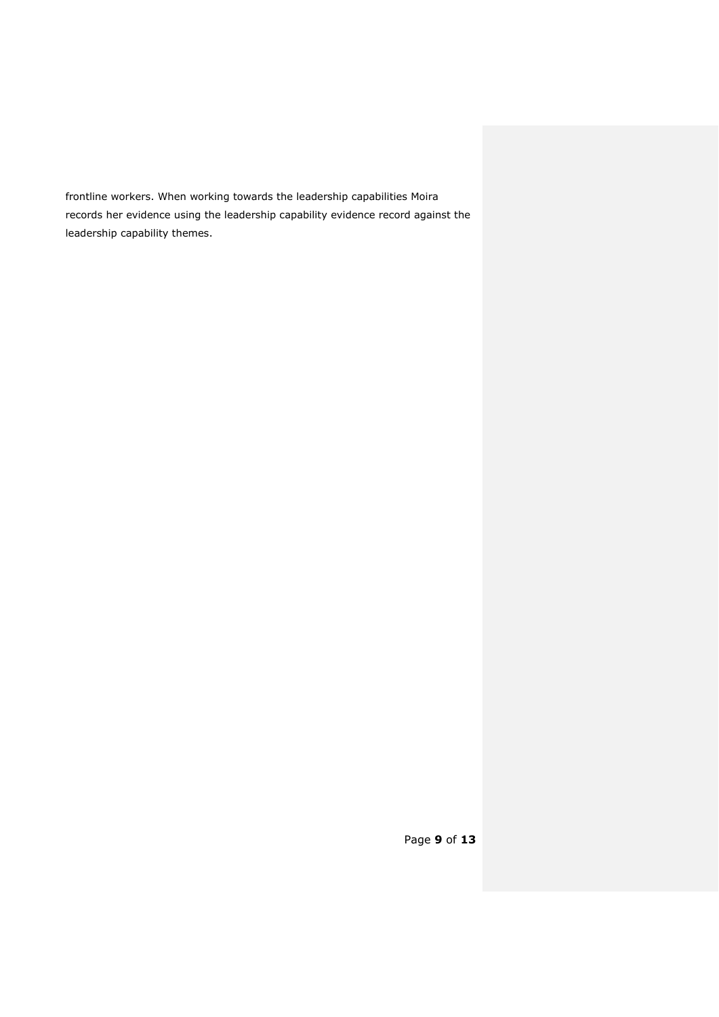frontline workers. When working towards the leadership capabilities Moira records her evidence using the leadership capability evidence record against the leadership capability themes.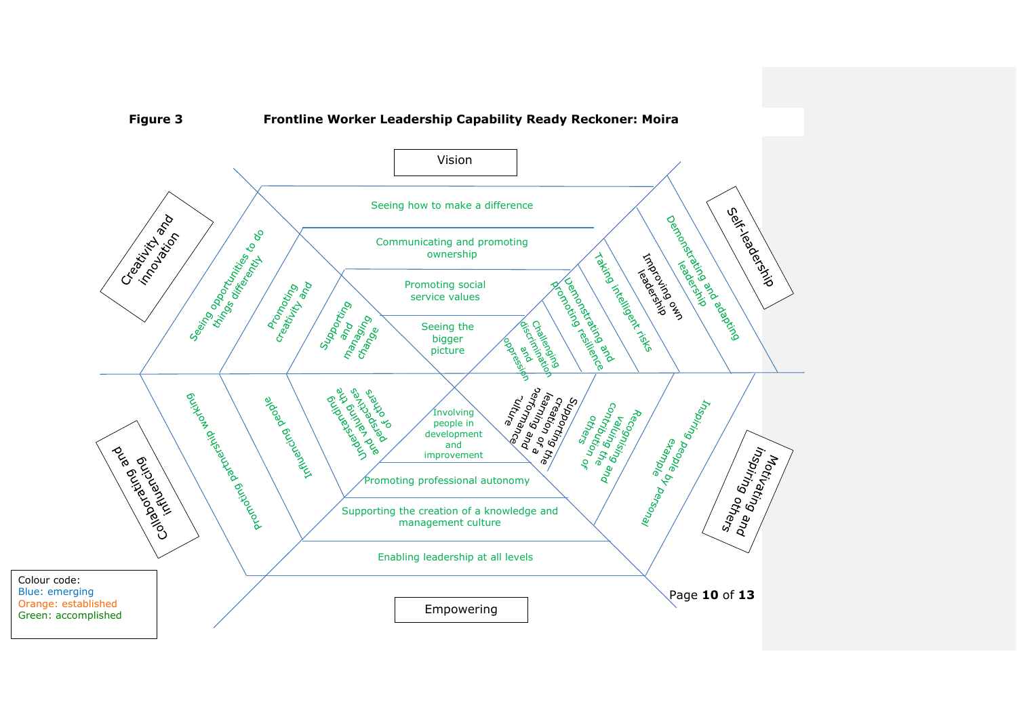

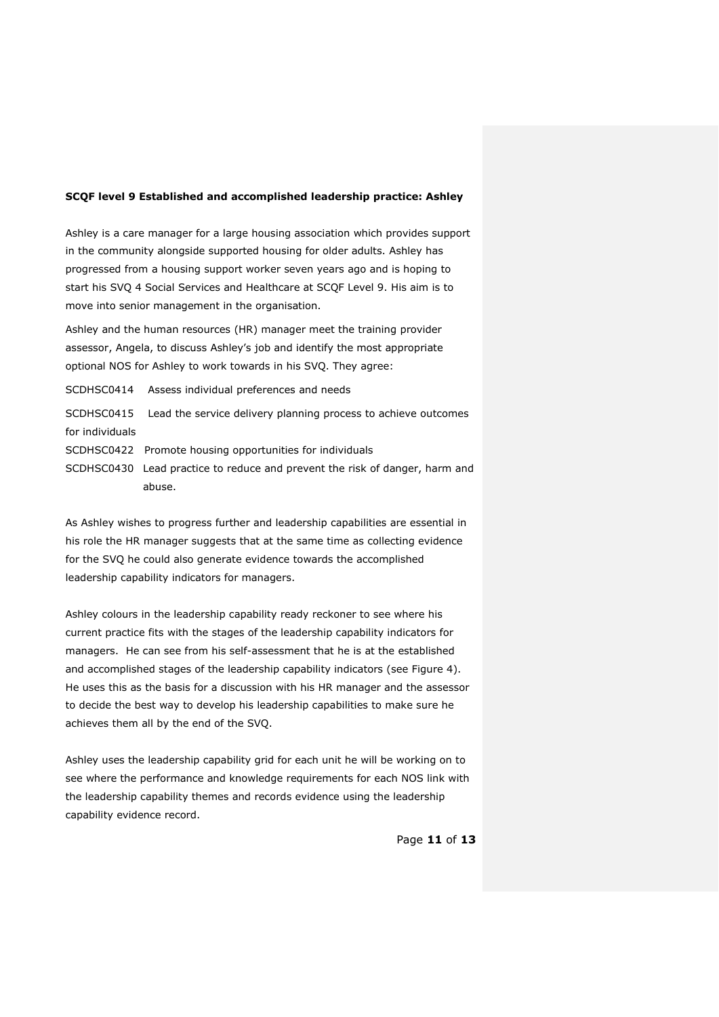### **SCQF level 9 Established and accomplished leadership practice: Ashley**

Ashley is a care manager for a large housing association which provides support in the community alongside supported housing for older adults. Ashley has progressed from a housing support worker seven years ago and is hoping to start his SVQ 4 Social Services and Healthcare at SCQF Level 9. His aim is to move into senior management in the organisation.

Ashley and the human resources (HR) manager meet the training provider assessor, Angela, to discuss Ashley's job and identify the most appropriate optional NOS for Ashley to work towards in his SVQ. They agree:

SCDHSC0414 Assess individual preferences and needs

SCDHSC0415 Lead the service delivery planning process to achieve outcomes for individuals

SCDHSC0422 Promote housing opportunities for individuals

SCDHSC0430 Lead practice to reduce and prevent the risk of danger, harm and abuse.

As Ashley wishes to progress further and leadership capabilities are essential in his role the HR manager suggests that at the same time as collecting evidence for the SVQ he could also generate evidence towards the accomplished leadership capability indicators for managers.

Ashley colours in the leadership capability ready reckoner to see where his current practice fits with the stages of the leadership capability indicators for managers. He can see from his self-assessment that he is at the established and accomplished stages of the leadership capability indicators (see Figure 4). He uses this as the basis for a discussion with his HR manager and the assessor to decide the best way to develop his leadership capabilities to make sure he achieves them all by the end of the SVQ.

Ashley uses the leadership capability grid for each unit he will be working on to see where the performance and knowledge requirements for each NOS link with the leadership capability themes and records evidence using the leadership capability evidence record.

Page **11** of **13**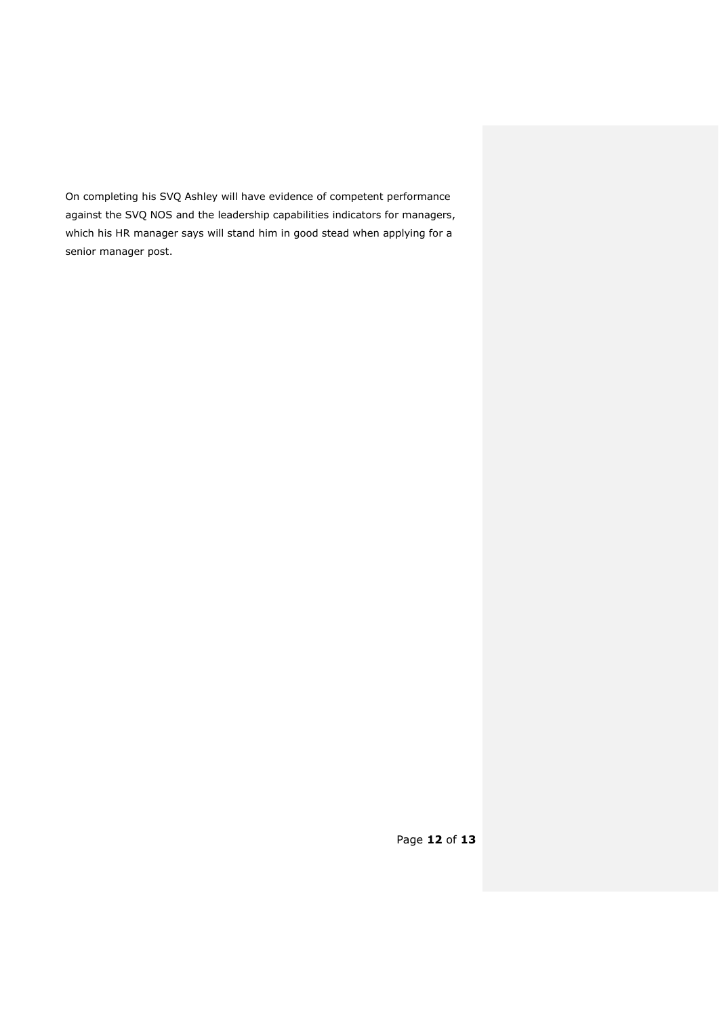On completing his SVQ Ashley will have evidence of competent performance against the SVQ NOS and the leadership capabilities indicators for managers, which his HR manager says will stand him in good stead when applying for a senior manager post.

Page **12** of **13**